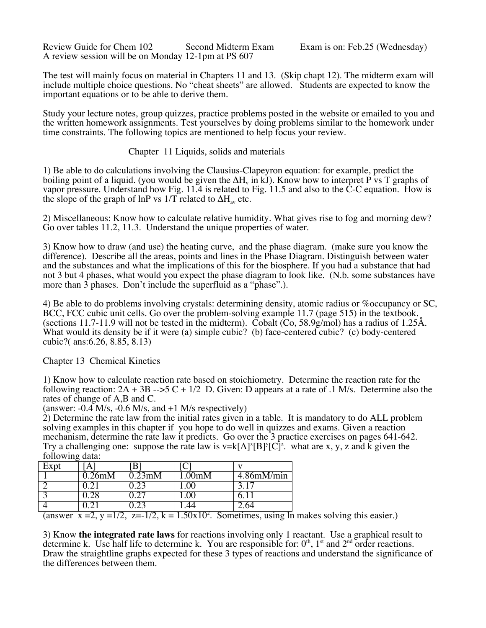Review Guide for Chem 102 Second Midterm Exam Exam is on: Feb.25 (Wednesday) A review session will be on Monday 12-1pm at PS 607

The test will mainly focus on material in Chapters 11 and 13. (Skip chapt 12). The midterm exam will include multiple choice questions. No "cheat sheets" are allowed. Students are expected to know the important equations or to be able to derive them.

Study your lecture notes, group quizzes, practice problems posted in the website or emailed to you and the written homework assignments. Test yourselves by doing problems similar to the homework under time constraints. The following topics are mentioned to help focus your review.

Chapter 11 Liquids, solids and materials

1) Be able to do calculations involving the Clausius-Clapeyron equation: for example, predict the boiling point of a liquid. (you would be given the  $\Delta H_v$  in kJ). Know how to interpret P vs T graphs of vapor pressure. Understand how Fig. 11.4 is related to Fig. 11.5 and also to the C-C equation. How is the slope of the graph of lnP vs 1/T related to  $\Delta H_{av}$  etc.

2) Miscellaneous: Know how to calculate relative humidity. What gives rise to fog and morning dew? Go over tables 11.2, 11.3. Understand the unique properties of water.

3) Know how to draw (and use) the heating curve, and the phase diagram. (make sure you know the difference). Describe all the areas, points and lines in the Phase Diagram. Distinguish between water and the substances and what the implications of this for the biosphere. If you had a substance that had not 3 but 4 phases, what would you expect the phase diagram to look like. (N.b. some substances have more than  $\overline{3}$  phases. Don't include the superfluid as a "phase".).

4) Be able to do problems involving crystals: determining density, atomic radius or %occupancy or SC, BCC, FCC cubic unit cells. Go over the problem-solving example 11.7 (page 515) in the textbook. (sections 11.7-11.9 will not be tested in the midterm). Cobalt (Co, 58.9g/mol) has a radius of 1.25Å. What would its density be if it were (a) simple cubic? (b) face-centered cubic? (c) body-centered cubic?( ans:6.26, 8.85, 8.13)

Chapter 13 Chemical Kinetics

1) Know how to calculate reaction rate based on stoichiometry. Determine the reaction rate for the following reaction:  $2A + 3B = -5C + 1/2$  D. Given: D appears at a rate of .1 M/s. Determine also the rates of change of A,B and C.

(answer:  $-0.4$  M/s,  $-0.6$  M/s, and  $+1$  M/s respectively)

2) Determine the rate law from the initial rates given in a table. It is mandatory to do ALL problem solving examples in this chapter if you hope to do well in quizzes and exams. Given a reaction mechanism, determine the rate law it predicts. Go over the 3 practice exercises on pages 641-642. Try a challenging one: suppose the rate law is  $v=k[A]^x[B]^y[C]^z$ . what are x, y, z and k given the following data:

| Expt |          |        |                         |               |
|------|----------|--------|-------------------------|---------------|
|      | 0.26mM   | 0.23mM | $\hbar$ $\hbar$ $\hbar$ | $4.86$ mM/min |
|      |          |        | $\overline{00}$         | 3.17          |
|      |          |        |                         |               |
|      | ---<br>- | ---    | $      -$               | 64            |

(answer  $x = 2$ ,  $y = 1/2$ ,  $z = -1/2$ ,  $k = 1.50x10^2$ . Sometimes, using In makes solving this easier.)

3) Know **the integrated rate laws** for reactions involving only 1 reactant. Use a graphical result to determine k. Use half life to determine k. You are responsible for:  $0<sup>th</sup>$ ,  $1<sup>st</sup>$  and  $2<sup>nd</sup>$  order reactions. Draw the straightline graphs expected for these 3 types of reactions and understand the significance of the differences between them.